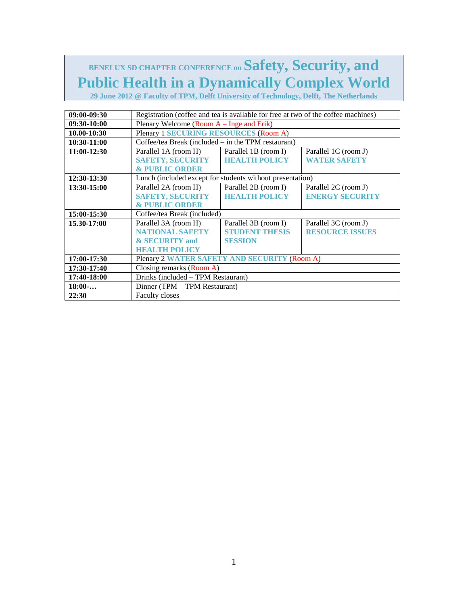# **BENELUX SD CHAPTER CONFERENCE on Safety, Security, and Public Health in a Dynamically Complex World**

**29 June 2012 @ Faculty of TPM, Delft University of Technology, Delft, The Netherlands** 

| 09:00-09:30 | Registration (coffee and tea is available for free at two of the coffee machines) |                       |                        |
|-------------|-----------------------------------------------------------------------------------|-----------------------|------------------------|
| 09:30-10:00 | Plenary Welcome (Room $A$ – Inge and Erik)                                        |                       |                        |
| 10.00-10:30 | <b>Plenary 1 SECURING RESOURCES (Room A)</b>                                      |                       |                        |
| 10:30-11:00 | Coffee/tea Break (included $-$ in the TPM restaurant)                             |                       |                        |
| 11:00-12:30 | Parallel 1A (room H)                                                              | Parallel 1B (room I)  | Parallel 1C (room J)   |
|             | <b>SAFETY, SECURITY</b>                                                           | <b>HEALTH POLICY</b>  | <b>WATER SAFETY</b>    |
|             | <b>&amp; PUBLIC ORDER</b>                                                         |                       |                        |
| 12:30-13:30 | Lunch (included except for students without presentation)                         |                       |                        |
| 13:30-15:00 | Parallel 2A (room H)                                                              | Parallel 2B (room I)  | Parallel 2C (room J)   |
|             | <b>SAFETY, SECURITY</b>                                                           | <b>HEALTH POLICY</b>  | <b>ENERGY SECURITY</b> |
|             | <b>&amp; PUBLIC ORDER</b>                                                         |                       |                        |
| 15:00-15:30 | Coffee/tea Break (included)                                                       |                       |                        |
| 15.30-17:00 | Parallel 3A (room H)                                                              | Parallel 3B (room I)  | Parallel 3C (room J)   |
|             | <b>NATIONAL SAFETY</b>                                                            | <b>STUDENT THESIS</b> | <b>RESOURCE ISSUES</b> |
|             | & SECURITY and                                                                    | <b>SESSION</b>        |                        |
|             | <b>HEALTH POLICY</b>                                                              |                       |                        |
| 17:00-17:30 | Plenary 2 WATER SAFETY AND SECURITY (Room A)                                      |                       |                        |
| 17:30-17:40 | Closing remarks (Room A)                                                          |                       |                        |
| 17:40-18:00 | Drinks (included - TPM Restaurant)                                                |                       |                        |
| 18:00       | Dinner (TPM - TPM Restaurant)                                                     |                       |                        |
| 22:30       | <b>Faculty closes</b>                                                             |                       |                        |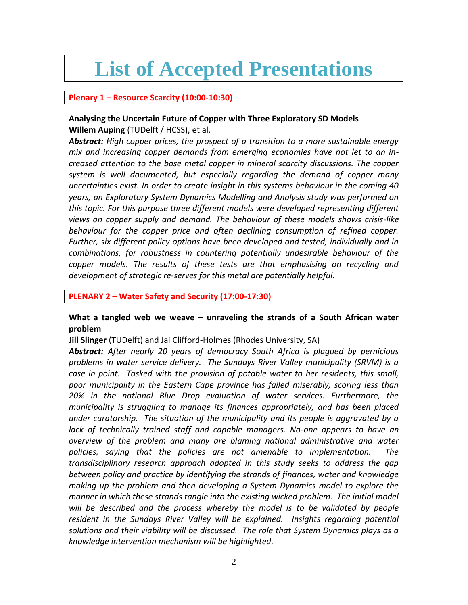# **List of Accepted Presentations**

### **Plenary 1 – Resource Scarcity (10:00-10:30)**

# **Analysing the Uncertain Future of Copper with Three Exploratory SD Models Willem Auping** (TUDelft / HCSS), et al.

*Abstract: High copper prices, the prospect of a transition to a more sustainable energy mix and increasing copper demands from emerging economies have not let to an increased attention to the base metal copper in mineral scarcity discussions. The copper system is well documented, but especially regarding the demand of copper many uncertainties exist. In order to create insight in this systems behaviour in the coming 40 years, an Exploratory System Dynamics Modelling and Analysis study was performed on this topic. For this purpose three different models were developed representing different views on copper supply and demand. The behaviour of these models shows crisis-like behaviour for the copper price and often declining consumption of refined copper. Further, six different policy options have been developed and tested, individually and in combinations, for robustness in countering potentially undesirable behaviour of the copper models. The results of these tests are that emphasising on recycling and development of strategic re-serves for this metal are potentially helpful.*

#### **PLENARY 2 – Water Safety and Security (17:00-17:30)**

# **What a tangled web we weave – unraveling the strands of a South African water problem**

**Jill Slinger** (TUDelft) and Jai Clifford-Holmes (Rhodes University, SA)

*Abstract: After nearly 20 years of democracy South Africa is plagued by pernicious problems in water service delivery. The Sundays River Valley municipality (SRVM) is a case in point. Tasked with the provision of potable water to her residents, this small, poor municipality in the Eastern Cape province has failed miserably, scoring less than 20% in the national Blue Drop evaluation of water services. Furthermore, the municipality is struggling to manage its finances appropriately, and has been placed under curatorship. The situation of the municipality and its people is aggravated by a lack of technically trained staff and capable managers. No-one appears to have an overview of the problem and many are blaming national administrative and water policies, saying that the policies are not amenable to implementation. The transdisciplinary research approach adopted in this study seeks to address the gap between policy and practice by identifying the strands of finances, water and knowledge making up the problem and then developing a System Dynamics model to explore the manner in which these strands tangle into the existing wicked problem. The initial model will be described and the process whereby the model is to be validated by people*  resident in the Sundays River Valley will be explained. Insights regarding potential *solutions and their viability will be discussed. The role that System Dynamics plays as a knowledge intervention mechanism will be highlighted.*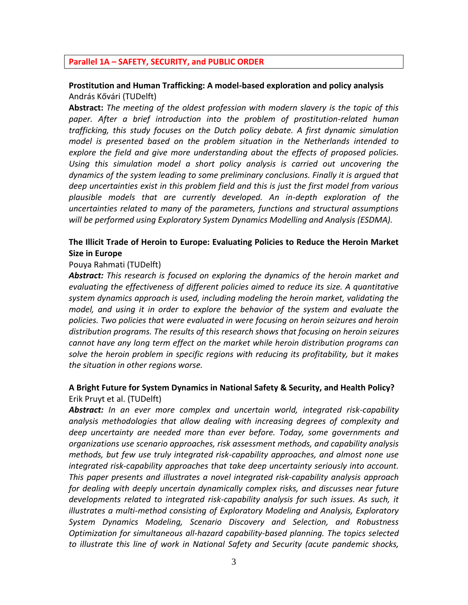#### **Parallel 1A – SAFETY, SECURITY, and PUBLIC ORDER**

### **Prostitution and Human Trafficking: A model-based exploration and policy analysis**  András Kővári (TUDelft)

**Abstract:** *The meeting of the oldest profession with modern slavery is the topic of this paper. After a brief introduction into the problem of prostitution-related human trafficking, this study focuses on the Dutch policy debate. A first dynamic simulation model is presented based on the problem situation in the Netherlands intended to explore the field and give more understanding about the effects of proposed policies. Using this simulation model a short policy analysis is carried out uncovering the dynamics of the system leading to some preliminary conclusions. Finally it is argued that deep uncertainties exist in this problem field and this is just the first model from various plausible models that are currently developed. An in-depth exploration of the uncertainties related to many of the parameters, functions and structural assumptions will be performed using Exploratory System Dynamics Modelling and Analysis (ESDMA).*

## **The Illicit Trade of Heroin to Europe: Evaluating Policies to Reduce the Heroin Market Size in Europe**

#### Pouya Rahmati (TUDelft)

*Abstract: This research is focused on exploring the dynamics of the heroin market and evaluating the effectiveness of different policies aimed to reduce its size. A quantitative system dynamics approach is used, including modeling the heroin market, validating the model, and using it in order to explore the behavior of the system and evaluate the policies. Two policies that were evaluated in were focusing on heroin seizures and heroin distribution programs. The results of this research shows that focusing on heroin seizures cannot have any long term effect on the market while heroin distribution programs can solve the heroin problem in specific regions with reducing its profitability, but it makes the situation in other regions worse.* 

## **A Bright Future for System Dynamics in National Safety & Security, and Health Policy?** Erik Pruyt et al. (TUDelft)

*Abstract: In an ever more complex and uncertain world, integrated risk-capability analysis methodologies that allow dealing with increasing degrees of complexity and deep uncertainty are needed more than ever before. Today, some governments and organizations use scenario approaches, risk assessment methods, and capability analysis methods, but few use truly integrated risk-capability approaches, and almost none use integrated risk-capability approaches that take deep uncertainty seriously into account. This paper presents and illustrates a novel integrated risk-capability analysis approach for dealing with deeply uncertain dynamically complex risks, and discusses near future developments related to integrated risk-capability analysis for such issues. As such, it illustrates a multi-method consisting of Exploratory Modeling and Analysis, Exploratory System Dynamics Modeling, Scenario Discovery and Selection, and Robustness Optimization for simultaneous all-hazard capability-based planning. The topics selected to illustrate this line of work in National Safety and Security (acute pandemic shocks,*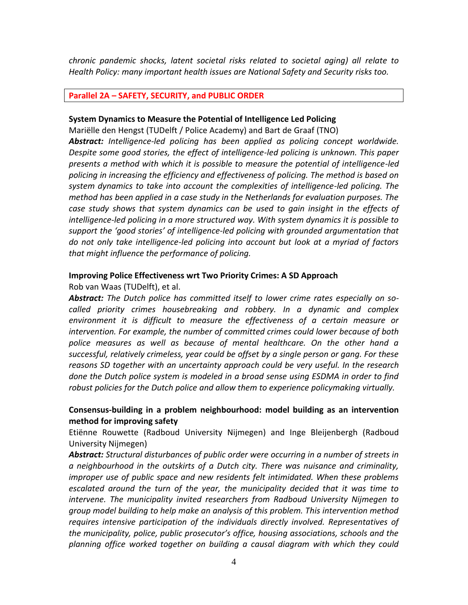*chronic pandemic shocks, latent societal risks related to societal aging) all relate to Health Policy: many important health issues are National Safety and Security risks too.* 

#### **Parallel 2A – SAFETY, SECURITY, and PUBLIC ORDER**

#### **System Dynamics to Measure the Potential of Intelligence Led Policing**

Mariëlle den Hengst (TUDelft / Police Academy) and Bart de Graaf (TNO)

*Abstract: Intelligence-led policing has been applied as policing concept worldwide. Despite some good stories, the effect of intelligence-led policing is unknown. This paper presents a method with which it is possible to measure the potential of intelligence-led policing in increasing the efficiency and effectiveness of policing. The method is based on system dynamics to take into account the complexities of intelligence-led policing. The method has been applied in a case study in the Netherlands for evaluation purposes. The case study shows that system dynamics can be used to gain insight in the effects of intelligence-led policing in a more structured way. With system dynamics it is possible to support the 'good stories' of intelligence-led policing with grounded argumentation that do not only take intelligence-led policing into account but look at a myriad of factors that might influence the performance of policing.*

#### **Improving Police Effectiveness wrt Two Priority Crimes: A SD Approach**  Rob van Waas (TUDelft), et al.

*Abstract: The Dutch police has committed itself to lower crime rates especially on socalled priority crimes housebreaking and robbery. In a dynamic and complex environment it is difficult to measure the effectiveness of a certain measure or intervention. For example, the number of committed crimes could lower because of both police measures as well as because of mental healthcare. On the other hand a successful, relatively crimeless, year could be offset by a single person or gang. For these reasons SD together with an uncertainty approach could be very useful. In the research done the Dutch police system is modeled in a broad sense using ESDMA in order to find robust policies for the Dutch police and allow them to experience policymaking virtually.*

# **Consensus-building in a problem neighbourhood: model building as an intervention method for improving safety**

Etiënne Rouwette (Radboud University Nijmegen) and Inge Bleijenbergh (Radboud University Nijmegen)

*Abstract: Structural disturbances of public order were occurring in a number of streets in a neighbourhood in the outskirts of a Dutch city. There was nuisance and criminality, improper use of public space and new residents felt intimidated. When these problems escalated around the turn of the year, the municipality decided that it was time to intervene. The municipality invited researchers from Radboud University Nijmegen to group model building to help make an analysis of this problem. This intervention method requires intensive participation of the individuals directly involved. Representatives of the municipality, police, public prosecutor's office, housing associations, schools and the planning office worked together on building a causal diagram with which they could*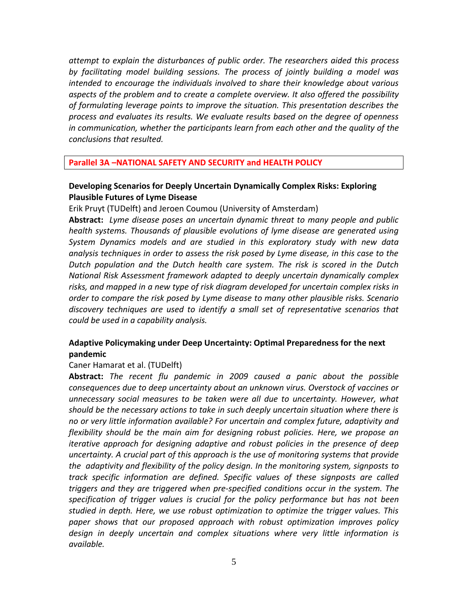*attempt to explain the disturbances of public order. The researchers aided this process by facilitating model building sessions. The process of jointly building a model was intended to encourage the individuals involved to share their knowledge about various aspects of the problem and to create a complete overview. It also offered the possibility of formulating leverage points to improve the situation. This presentation describes the process and evaluates its results. We evaluate results based on the degree of openness in communication, whether the participants learn from each other and the quality of the conclusions that resulted.*

**Parallel 3A –NATIONAL SAFETY AND SECURITY and HEALTH POLICY**

# **Developing Scenarios for Deeply Uncertain Dynamically Complex Risks: Exploring Plausible Futures of Lyme Disease**

Erik Pruyt (TUDelft) and Jeroen Coumou (University of Amsterdam)

**Abstract:** *Lyme disease poses an uncertain dynamic threat to many people and public health systems. Thousands of plausible evolutions of lyme disease are generated using System Dynamics models and are studied in this exploratory study with new data analysis techniques in order to assess the risk posed by Lyme disease, in this case to the Dutch population and the Dutch health care system. The risk is scored in the Dutch National Risk Assessment framework adapted to deeply uncertain dynamically complex risks, and mapped in a new type of risk diagram developed for uncertain complex risks in order to compare the risk posed by Lyme disease to many other plausible risks. Scenario discovery techniques are used to identify a small set of representative scenarios that could be used in a capability analysis.*

# **Adaptive Policymaking under Deep Uncertainty: Optimal Preparedness for the next pandemic**

#### Caner Hamarat et al. (TUDelft)

**Abstract:** *The recent flu pandemic in 2009 caused a panic about the possible consequences due to deep uncertainty about an unknown virus. Overstock of vaccines or unnecessary social measures to be taken were all due to uncertainty. However, what should be the necessary actions to take in such deeply uncertain situation where there is no or very little information available? For uncertain and complex future, adaptivity and flexibility should be the main aim for designing robust policies. Here, we propose an iterative approach for designing adaptive and robust policies in the presence of deep uncertainty. A crucial part of this approach is the use of monitoring systems that provide the adaptivity and flexibility of the policy design. In the monitoring system, signposts to track specific information are defined. Specific values of these signposts are called triggers and they are triggered when pre-specified conditions occur in the system. The specification of trigger values is crucial for the policy performance but has not been studied in depth. Here, we use robust optimization to optimize the trigger values. This paper shows that our proposed approach with robust optimization improves policy design in deeply uncertain and complex situations where very little information is available.*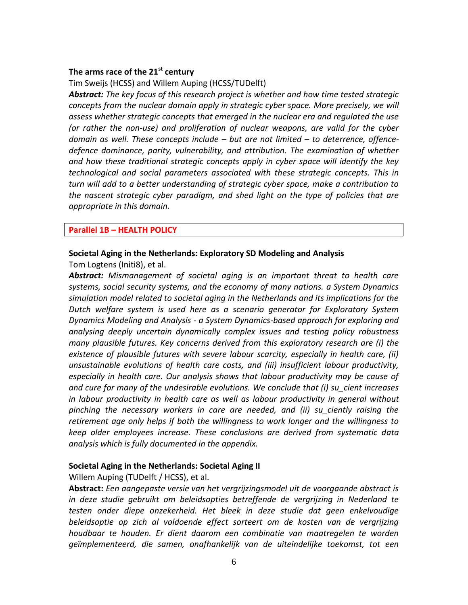# **The arms race of the 21st century**

Tim Sweijs (HCSS) and Willem Auping (HCSS/TUDelft)

*Abstract: The key focus of this research project is whether and how time tested strategic*  concepts from the nuclear domain apply in strategic cyber space. More precisely, we will *assess whether strategic concepts that emerged in the nuclear era and regulated the use (or rather the non-use) and proliferation of nuclear weapons, are valid for the cyber domain as well. These concepts include – but are not limited – to deterrence, offencedefence dominance, parity, vulnerability, and attribution. The examination of whether and how these traditional strategic concepts apply in cyber space will identify the key technological and social parameters associated with these strategic concepts. This in turn will add to a better understanding of strategic cyber space, make a contribution to the nascent strategic cyber paradigm, and shed light on the type of policies that are appropriate in this domain.*

#### **Parallel 1B – HEALTH POLICY**

#### **Societal Aging in the Netherlands: Exploratory SD Modeling and Analysis**

Tom Logtens (Initi8), et al.

*Abstract: Mismanagement of societal aging is an important threat to health care systems, social security systems, and the economy of many nations. a System Dynamics simulation model related to societal aging in the Netherlands and its implications for the Dutch welfare system is used here as a scenario generator for Exploratory System Dynamics Modeling and Analysis - a System Dynamics-based approach for exploring and analysing deeply uncertain dynamically complex issues and testing policy robustness many plausible futures. Key concerns derived from this exploratory research are (i) the existence of plausible futures with severe labour scarcity, especially in health care, (ii) unsustainable evolutions of health care costs, and (iii) insufficient labour productivity, especially in health care. Our analysis shows that labour productivity may be cause of and cure for many of the undesirable evolutions. We conclude that (i) su\_cient increases in labour productivity in health care as well as labour productivity in general without pinching the necessary workers in care are needed, and (ii) su\_ciently raising the retirement age only helps if both the willingness to work longer and the willingness to keep older employees increase. These conclusions are derived from systematic data analysis which is fully documented in the appendix.*

### **Societal Aging in the Netherlands: Societal Aging II**

Willem Auping (TUDelft / HCSS), et al.

**Abstract:** *Een aangepaste versie van het vergrijzingsmodel uit de voorgaande abstract is in deze studie gebruikt om beleidsopties betreffende de vergrijzing in Nederland te testen onder diepe onzekerheid. Het bleek in deze studie dat geen enkelvoudige beleidsoptie op zich al voldoende effect sorteert om de kosten van de vergrijzing houdbaar te houden. Er dient daarom een combinatie van maatregelen te worden geïmplementeerd, die samen, onafhankelijk van de uiteindelijke toekomst, tot een*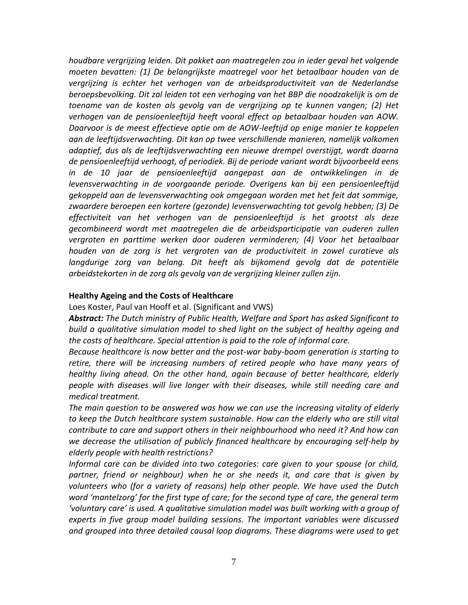*houdbare vergrijzing leiden. Dit pakket aan maatregelen zou in ieder geval het volgende moeten bevatten: (1) De belangrijkste maatregel voor het betaalbaar houden van de vergrijzing is echter het verhogen van de arbeidsproductiviteit van de Nederlandse beroepsbevolking. Dit zal leiden tot een verhoging van het BBP die noodzakelijk is om de toename van de kosten als gevolg van de vergrijzing op te kunnen vangen; (2) Het verhogen van de pensioenleeftijd heeft vooral effect op betaalbaar houden van AOW. Daarvoor is de meest effectieve optie om de AOW-leeftijd op enige manier te koppelen aan de leeftijdsverwachting. Dit kan op twee verschillende manieren, namelijk volkomen adaptief, dus als de leeftijdsverwachting een nieuwe drempel overstijgt, wordt daarna de pensioenleeftijd verhoogt, of periodiek. Bij de periode variant wordt bijvoorbeeld eens in de 10 jaar de pensioenleeftijd aangepast aan de ontwikkelingen in de levensverwachting in de voorgaande periode. Overigens kan bij een pensioenleeftijd gekoppeld aan de levensverwachting ook omgegaan worden met het feit dat sommige, zwaardere beroepen een kortere (gezonde) levensverwachting tot gevolg hebben; (3) De effectiviteit van het verhogen van de pensioenleeftijd is het grootst als deze gecombineerd wordt met maatregelen die de arbeidsparticipatie van ouderen zullen vergroten en parttime werken door ouderen verminderen; (4) Voor het betaalbaar houden van de zorg is het vergroten van de productiviteit in zowel curatieve als*  langdurige zorg van belang. Dit heeft als bijkomend gevolg dat de potentiële *arbeidstekorten in de zorg als gevolg van de vergrijzing kleiner zullen zijn.*

# **Healthy Ageing and the Costs of Healthcare**

Loes Koster, Paul van Hooff et al. (Significant and VWS)

*Abstract: The Dutch ministry of Public Health, Welfare and Sport has asked Significant to build a qualitative simulation model to shed light on the subject of healthy ageing and the costs of healthcare. Special attention is paid to the role of informal care.*

*Because healthcare is now better and the post-war baby-boom generation is starting to retire, there will be increasing numbers of retired people who have many years of healthy living ahead. On the other hand, again because of better healthcare, elderly people with diseases will live longer with their diseases, while still needing care and medical treatment.*

*The main question to be answered was how we can use the increasing vitality of elderly to keep the Dutch healthcare system sustainable. How can the elderly who are still vital contribute to care and support others in their neighbourhood who need it? And how can we decrease the utilisation of publicly financed healthcare by encouraging self-help by elderly people with health restrictions?*

*Informal care can be divided into two categories: care given to your spouse (or child,*  partner, friend or neighbour) when he or she needs it, and care that is given by *volunteers who (for a variety of reasons) help other people. We have used the Dutch word 'mantelzorg' for the first type of care; for the second type of care, the general term 'voluntary care' is used. A qualitative simulation model was built working with a group of experts in five group model building sessions. The important variables were discussed and grouped into three detailed causal loop diagrams. These diagrams were used to get*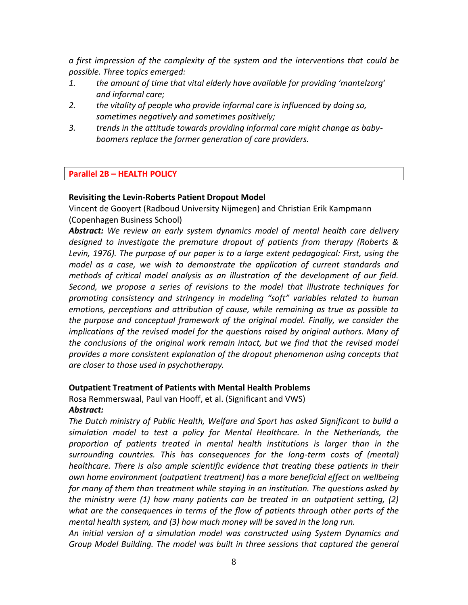*a first impression of the complexity of the system and the interventions that could be possible. Three topics emerged:*

- *1. the amount of time that vital elderly have available for providing 'mantelzorg' and informal care;*
- *2. the vitality of people who provide informal care is influenced by doing so, sometimes negatively and sometimes positively;*
- *3. trends in the attitude towards providing informal care might change as babyboomers replace the former generation of care providers.*

# **Parallel 2B – HEALTH POLICY**

# **Revisiting the Levin-Roberts Patient Dropout Model**

Vincent de Gooyert (Radboud University Nijmegen) and Christian Erik Kampmann (Copenhagen Business School)

*Abstract: We review an early system dynamics model of mental health care delivery designed to investigate the premature dropout of patients from therapy (Roberts & Levin, 1976). The purpose of our paper is to a large extent pedagogical: First, using the model as a case, we wish to demonstrate the application of current standards and methods of critical model analysis as an illustration of the development of our field. Second, we propose a series of revisions to the model that illustrate techniques for promoting consistency and stringency in modeling "soft" variables related to human emotions, perceptions and attribution of cause, while remaining as true as possible to the purpose and conceptual framework of the original model. Finally, we consider the implications of the revised model for the questions raised by original authors. Many of the conclusions of the original work remain intact, but we find that the revised model provides a more consistent explanation of the dropout phenomenon using concepts that are closer to those used in psychotherapy.*

# **Outpatient Treatment of Patients with Mental Health Problems**

Rosa Remmerswaal, Paul van Hooff, et al. (Significant and VWS) *Abstract:*

*The Dutch ministry of Public Health, Welfare and Sport has asked Significant to build a simulation model to test a policy for Mental Healthcare. In the Netherlands, the proportion of patients treated in mental health institutions is larger than in the surrounding countries. This has consequences for the long-term costs of (mental) healthcare. There is also ample scientific evidence that treating these patients in their own home environment (outpatient treatment) has a more beneficial effect on wellbeing for many of them than treatment while staying in an institution. The questions asked by the ministry were (1) how many patients can be treated in an outpatient setting, (2) what are the consequences in terms of the flow of patients through other parts of the mental health system, and (3) how much money will be saved in the long run.*

*An initial version of a simulation model was constructed using System Dynamics and Group Model Building. The model was built in three sessions that captured the general*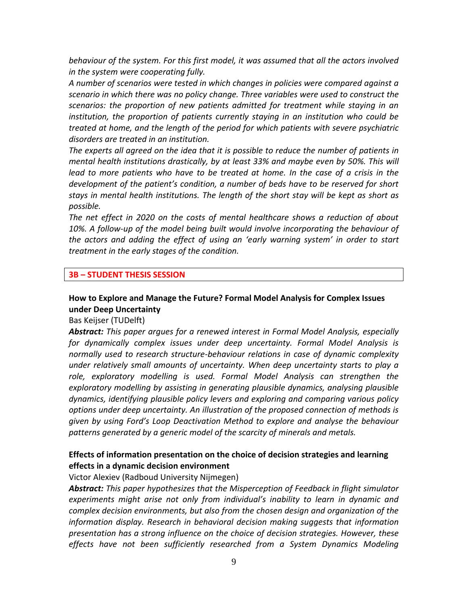*behaviour of the system. For this first model, it was assumed that all the actors involved in the system were cooperating fully.*

*A number of scenarios were tested in which changes in policies were compared against a scenario in which there was no policy change. Three variables were used to construct the scenarios: the proportion of new patients admitted for treatment while staying in an institution, the proportion of patients currently staying in an institution who could be treated at home, and the length of the period for which patients with severe psychiatric disorders are treated in an institution.*

*The experts all agreed on the idea that it is possible to reduce the number of patients in mental health institutions drastically, by at least 33% and maybe even by 50%. This will lead to more patients who have to be treated at home. In the case of a crisis in the development of the patient's condition, a number of beds have to be reserved for short stays in mental health institutions. The length of the short stay will be kept as short as possible.*

*The net effect in 2020 on the costs of mental healthcare shows a reduction of about 10%. A follow-up of the model being built would involve incorporating the behaviour of the actors and adding the effect of using an 'early warning system' in order to start treatment in the early stages of the condition.*

#### **3B – STUDENT THESIS SESSION**

# **How to Explore and Manage the Future? Formal Model Analysis for Complex Issues under Deep Uncertainty**

Bas Keijser (TUDelft)

*Abstract: This paper argues for a renewed interest in Formal Model Analysis, especially for dynamically complex issues under deep uncertainty. Formal Model Analysis is normally used to research structure-behaviour relations in case of dynamic complexity under relatively small amounts of uncertainty. When deep uncertainty starts to play a role, exploratory modelling is used. Formal Model Analysis can strengthen the exploratory modelling by assisting in generating plausible dynamics, analysing plausible dynamics, identifying plausible policy levers and exploring and comparing various policy options under deep uncertainty. An illustration of the proposed connection of methods is given by using Ford's Loop Deactivation Method to explore and analyse the behaviour patterns generated by a generic model of the scarcity of minerals and metals.*

# **Effects of information presentation on the choice of decision strategies and learning effects in a dynamic decision environment**

Victor Alexiev (Radboud University Nijmegen)

*Abstract: This paper hypothesizes that the Misperception of Feedback in flight simulator experiments might arise not only from individual's inability to learn in dynamic and complex decision environments, but also from the chosen design and organization of the information display. Research in behavioral decision making suggests that information presentation has a strong influence on the choice of decision strategies. However, these effects have not been sufficiently researched from a System Dynamics Modeling*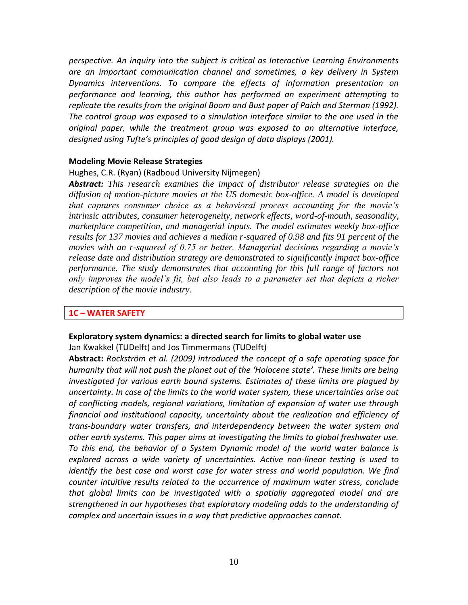*perspective. An inquiry into the subject is critical as Interactive Learning Environments are an important communication channel and sometimes, a key delivery in System Dynamics interventions. To compare the effects of information presentation on performance and learning, this author has performed an experiment attempting to replicate the results from the original Boom and Bust paper of Paich and Sterman (1992). The control group was exposed to a simulation interface similar to the one used in the original paper, while the treatment group was exposed to an alternative interface, designed using Tufte's principles of good design of data displays (2001).*

#### **Modeling Movie Release Strategies**

#### Hughes, C.R. (Ryan) (Radboud University Nijmegen)

*Abstract: This research examines the impact of distributor release strategies on the diffusion of motion-picture movies at the US domestic box-office. A model is developed that captures consumer choice as a behavioral process accounting for the movie's intrinsic attributes, consumer heterogeneity, network effects, word-of-mouth, seasonality, marketplace competition, and managerial inputs. The model estimates weekly box-office results for 137 movies and achieves a median r-squared of 0.98 and fits 91 percent of the movies with an r-squared of 0.75 or better. Managerial decisions regarding a movie's release date and distribution strategy are demonstrated to significantly impact box-office performance. The study demonstrates that accounting for this full range of factors not only improves the model's fit, but also leads to a parameter set that depicts a richer description of the movie industry.*

#### **1C – WATER SAFETY**

#### **Exploratory system dynamics: a directed search for limits to global water use**

Jan Kwakkel (TUDelft) and Jos Timmermans (TUDelft)

**Abstract:** *Rockström et al. (2009) introduced the concept of a safe operating space for humanity that will not push the planet out of the 'Holocene state'. These limits are being investigated for various earth bound systems. Estimates of these limits are plagued by uncertainty. In case of the limits to the world water system, these uncertainties arise out of conflicting models, regional variations, limitation of expansion of water use through financial and institutional capacity, uncertainty about the realization and efficiency of trans-boundary water transfers, and interdependency between the water system and other earth systems. This paper aims at investigating the limits to global freshwater use. To this end, the behavior of a System Dynamic model of the world water balance is explored across a wide variety of uncertainties. Active non-linear testing is used to identify the best case and worst case for water stress and world population. We find counter intuitive results related to the occurrence of maximum water stress, conclude that global limits can be investigated with a spatially aggregated model and are strengthened in our hypotheses that exploratory modeling adds to the understanding of complex and uncertain issues in a way that predictive approaches cannot.*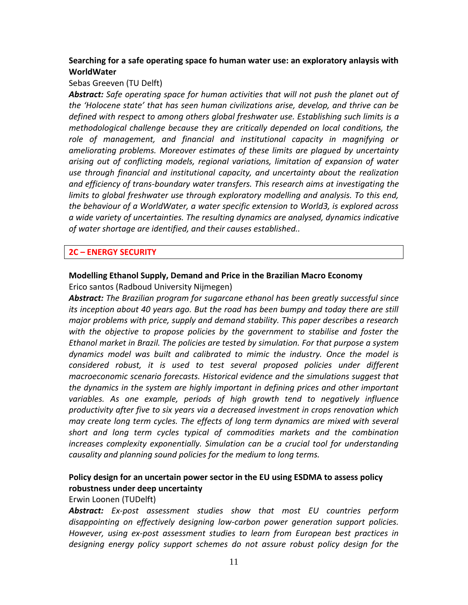# **Searching for a safe operating space fo human water use: an exploratory anlaysis with WorldWater**

### Sebas Greeven (TU Delft)

*Abstract: Safe operating space for human activities that will not push the planet out of the 'Holocene state' that has seen human civilizations arise, develop, and thrive can be defined with respect to among others global freshwater use. Establishing such limits is a methodological challenge because they are critically depended on local conditions, the role of management, and financial and institutional capacity in magnifying or ameliorating problems. Moreover estimates of these limits are plagued by uncertainty arising out of conflicting models, regional variations, limitation of expansion of water use through financial and institutional capacity, and uncertainty about the realization and efficiency of trans-boundary water transfers. This research aims at investigating the*  limits to global freshwater use through exploratory modelling and analysis. To this end, *the behaviour of a WorldWater, a water specific extension to World3, is explored across a wide variety of uncertainties. The resulting dynamics are analysed, dynamics indicative of water shortage are identified, and their causes established..*

# **2C – ENERGY SECURITY**

# **Modelling Ethanol Supply, Demand and Price in the Brazilian Macro Economy** Erico santos (Radboud University Nijmegen)

*Abstract: The Brazilian program for sugarcane ethanol has been greatly successful since its inception about 40 years ago. But the road has been bumpy and today there are still major problems with price, supply and demand stability. This paper describes a research with the objective to propose policies by the government to stabilise and foster the Ethanol market in Brazil. The policies are tested by simulation. For that purpose a system dynamics model was built and calibrated to mimic the industry. Once the model is considered robust, it is used to test several proposed policies under different macroeconomic scenario forecasts. Historical evidence and the simulations suggest that the dynamics in the system are highly important in defining prices and other important variables. As one example, periods of high growth tend to negatively influence productivity after five to six years via a decreased investment in crops renovation which may create long term cycles. The effects of long term dynamics are mixed with several short and long term cycles typical of commodities markets and the combination increases complexity exponentially. Simulation can be a crucial tool for understanding causality and planning sound policies for the medium to long terms.*

# **Policy design for an uncertain power sector in the EU using ESDMA to assess policy robustness under deep uncertainty**

### Erwin Loonen (TUDelft)

*Abstract: Ex-post assessment studies show that most EU countries perform disappointing on effectively designing low-carbon power generation support policies. However, using ex-post assessment studies to learn from European best practices in designing energy policy support schemes do not assure robust policy design for the*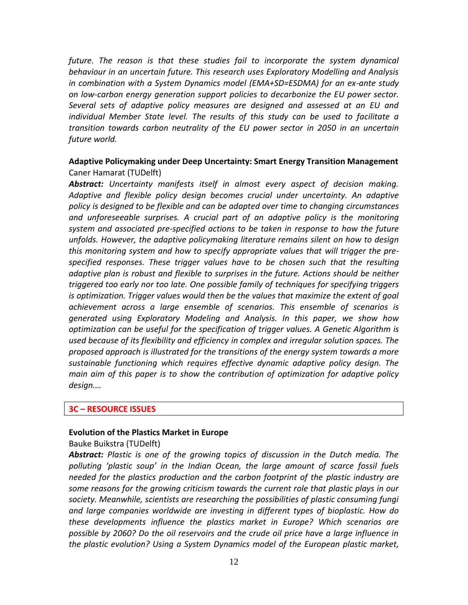*future. The reason is that these studies fail to incorporate the system dynamical behaviour in an uncertain future. This research uses Exploratory Modelling and Analysis in combination with a System Dynamics model (EMA+SD=ESDMA) for an ex-ante study on low-carbon energy generation support policies to decarbonize the EU power sector. Several sets of adaptive policy measures are designed and assessed at an EU and individual Member State level. The results of this study can be used to facilitate a transition towards carbon neutrality of the EU power sector in 2050 in an uncertain future world.*

# **Adaptive Policymaking under Deep Uncertainty: Smart Energy Transition Management** Caner Hamarat (TUDelft)

*Abstract: Uncertainty manifests itself in almost every aspect of decision making. Adaptive and flexible policy design becomes crucial under uncertainty. An adaptive policy is designed to be flexible and can be adapted over time to changing circumstances and unforeseeable surprises. A crucial part of an adaptive policy is the monitoring system and associated pre-specified actions to be taken in response to how the future unfolds. However, the adaptive policymaking literature remains silent on how to design this monitoring system and how to specify appropriate values that will trigger the prespecified responses. These trigger values have to be chosen such that the resulting adaptive plan is robust and flexible to surprises in the future. Actions should be neither triggered too early nor too late. One possible family of techniques for specifying triggers is optimization. Trigger values would then be the values that maximize the extent of goal achievement across a large ensemble of scenarios. This ensemble of scenarios is generated using Exploratory Modeling and Analysis. In this paper, we show how optimization can be useful for the specification of trigger values. A Genetic Algorithm is used because of its flexibility and efficiency in complex and irregular solution spaces. The proposed approach is illustrated for the transitions of the energy system towards a more sustainable functioning which requires effective dynamic adaptive policy design. The main aim of this paper is to show the contribution of optimization for adaptive policy design.…*

#### **3C – RESOURCE ISSUES**

#### **Evolution of the Plastics Market in Europe**

### Bauke Buikstra (TUDelft)

*Abstract: Plastic is one of the growing topics of discussion in the Dutch media. The polluting 'plastic soup' in the Indian Ocean, the large amount of scarce fossil fuels needed for the plastics production and the carbon footprint of the plastic industry are some reasons for the growing criticism towards the current role that plastic plays in our society. Meanwhile, scientists are researching the possibilities of plastic consuming fungi and large companies worldwide are investing in different types of bioplastic. How do these developments influence the plastics market in Europe? Which scenarios are possible by 2060? Do the oil reservoirs and the crude oil price have a large influence in the plastic evolution? Using a System Dynamics model of the European plastic market,*